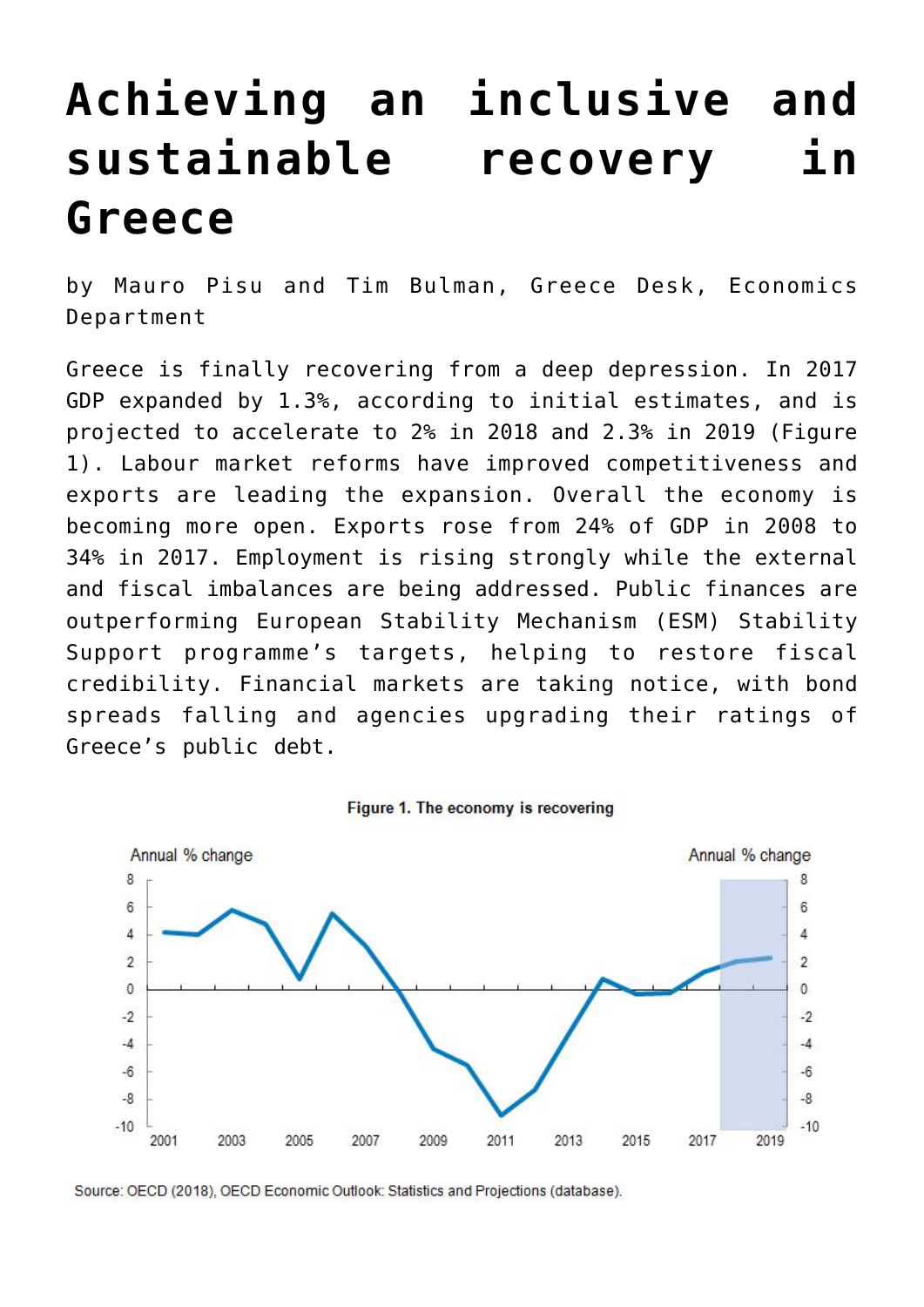## **[Achieving an inclusive and](https://oecdecoscope.blog/2018/04/30/achieving-an-inclusive-and-sustainable-recovery-in-greece/) [sustainable recovery in](https://oecdecoscope.blog/2018/04/30/achieving-an-inclusive-and-sustainable-recovery-in-greece/) [Greece](https://oecdecoscope.blog/2018/04/30/achieving-an-inclusive-and-sustainable-recovery-in-greece/)**

by Mauro Pisu and Tim Bulman, Greece Desk, Economics Department

Greece is finally recovering from a deep depression. In 2017 GDP expanded by 1.3%, according to initial estimates, and is projected to accelerate to 2% in 2018 and 2.3% in 2019 (Figure 1). Labour market reforms have improved competitiveness and exports are leading the expansion. Overall the economy is becoming more open. Exports rose from 24% of GDP in 2008 to 34% in 2017. Employment is rising strongly while the external and fiscal imbalances are being addressed. Public finances are outperforming European Stability Mechanism (ESM) Stability Support programme's targets, helping to restore fiscal credibility. Financial markets are taking notice, with bond spreads falling and agencies upgrading their ratings of Greece's public debt.



Figure 1. The economy is recovering

Source: OECD (2018), OECD Economic Outlook: Statistics and Projections (database).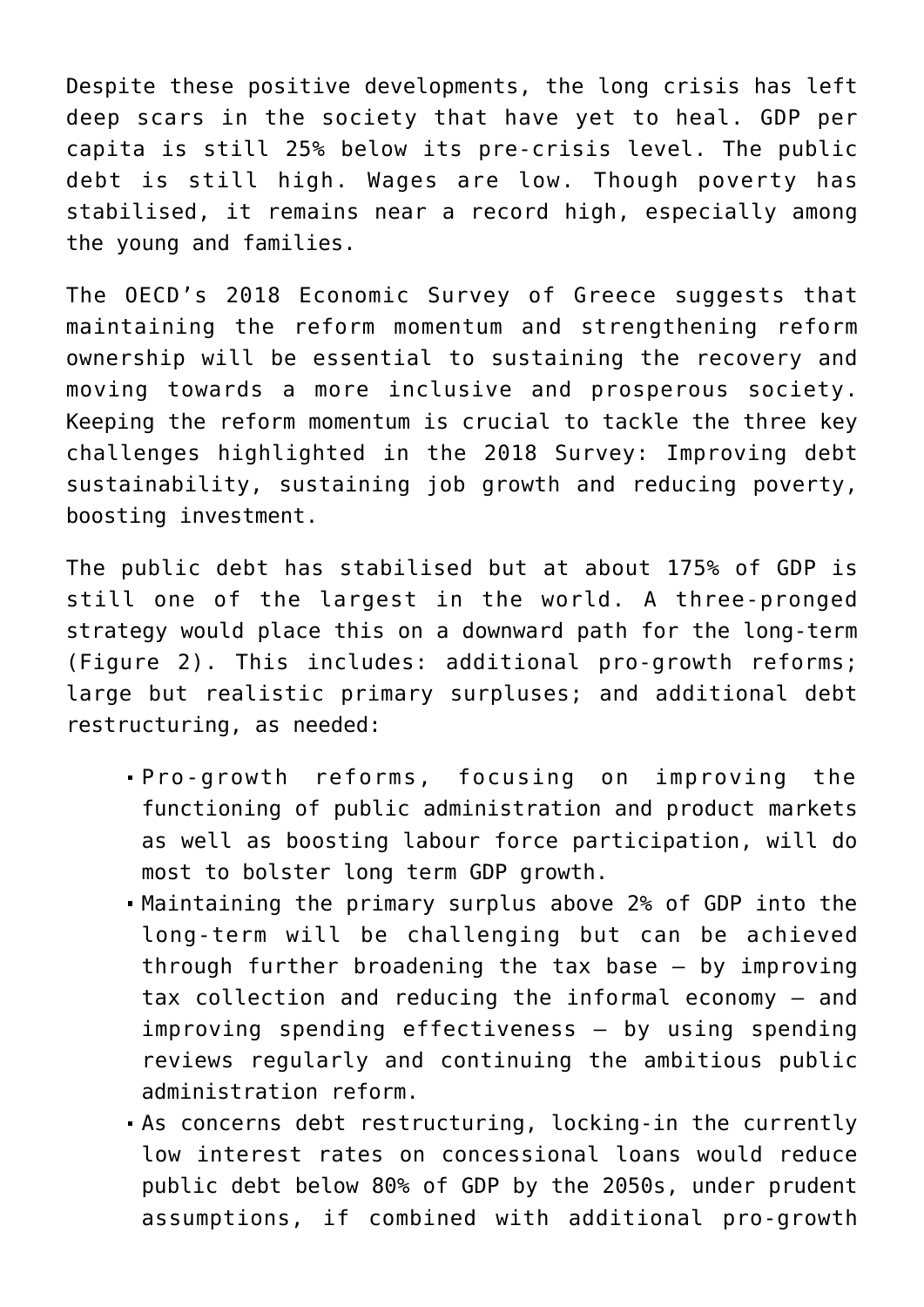Despite these positive developments, the long crisis has left deep scars in the society that have yet to heal. GDP per capita is still 25% below its pre-crisis level. The public debt is still high. Wages are low. Though poverty has stabilised, it remains near a record high, especially among the young and families.

The OECD's 2018 Economic Survey of Greece suggests that maintaining the reform momentum and strengthening reform ownership will be essential to sustaining the recovery and moving towards a more inclusive and prosperous society. Keeping the reform momentum is crucial to tackle the three key challenges highlighted in the 2018 Survey: Improving debt sustainability, sustaining job growth and reducing poverty, boosting investment.

The public debt has stabilised but at about 175% of GDP is still one of the largest in the world. A three-pronged strategy would place this on a downward path for the long-term (Figure 2). This includes: additional pro-growth reforms; large but realistic primary surpluses; and additional debt restructuring, as needed:

- Pro-growth reforms, focusing on improving the functioning of public administration and product markets as well as boosting labour force participation, will do most to bolster long term GDP growth.
- Maintaining the primary surplus above 2% of GDP into the long-term will be challenging but can be achieved through further broadening the tax base – by improving tax collection and reducing the informal economy – and improving spending effectiveness – by using spending reviews regularly and continuing the ambitious public administration reform.
- As concerns debt restructuring, locking-in the currently low interest rates on concessional loans would reduce public debt below 80% of GDP by the 2050s, under prudent assumptions, if combined with additional pro-growth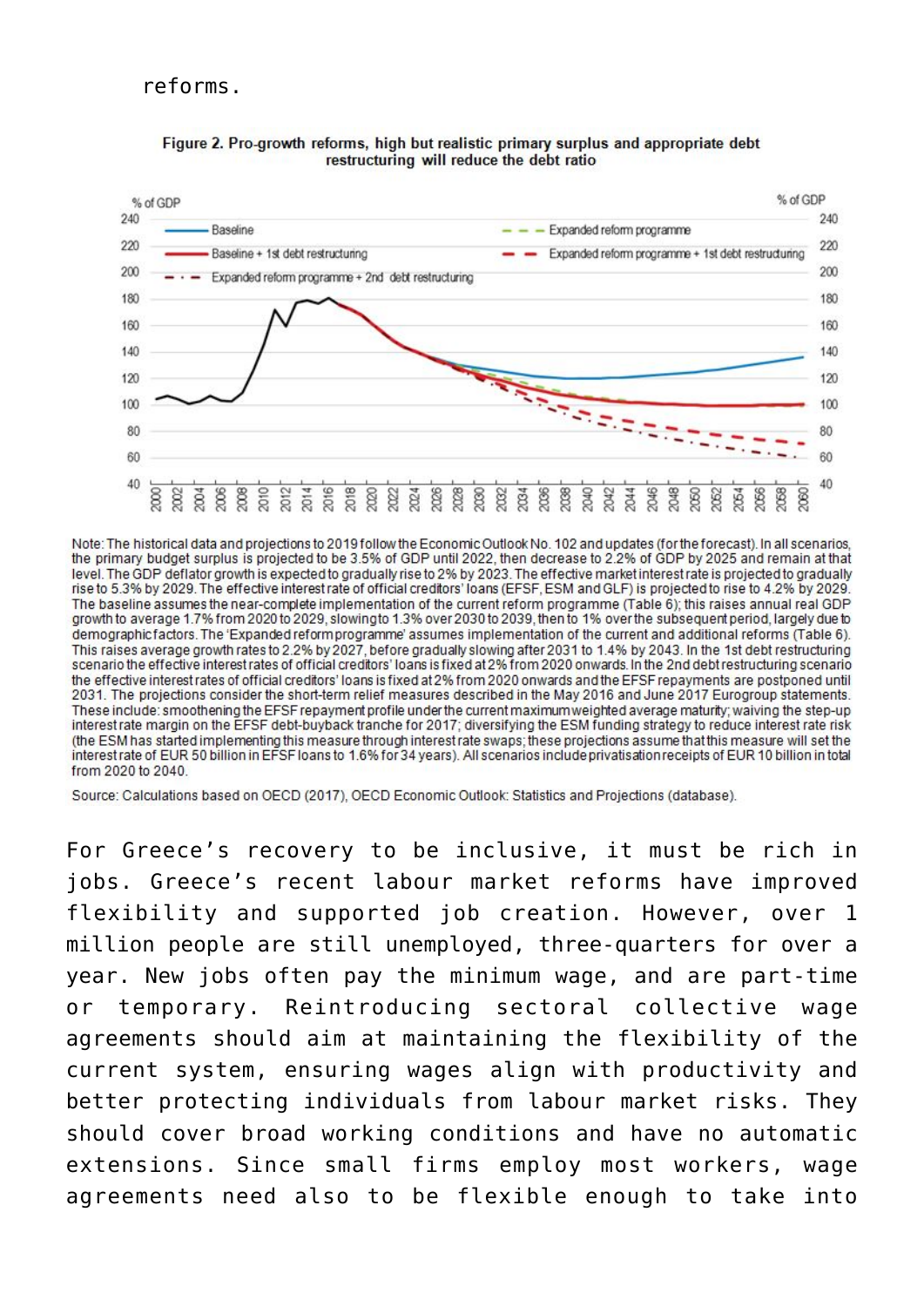## reforms.



## Figure 2. Pro-growth reforms, high but realistic primary surplus and appropriate debt restructuring will reduce the debt ratio

Note: The historical data and projections to 2019 follow the Economic Outlook No. 102 and updates (for the forecast). In all scenarios, the primary budget surplus is projected to be 3.5% of GDP until 2022, then decrease to 2.2% of GDP by 2025 and remain at that level. The GDP deflator growth is expected to gradually rise to 2% by 2023. The effective market interest rate is projected to gradually rise to 5.3% by 2029. The effective interest rate of official creditors' loans (EFSF, The baseline assumes the near-complete implementation of the current reform programme (Table 6); this raises annual real GDP growth to average 1.7% from 2020 to 2029, slowingto 1.3% over 2030 to 2039, then to 1% over the subsequent period, largely due to demographicfactors. The 'Expanded reform programme' assumes implementation of the current and additional reforms (Table 6). This raises average growth rates to 2.2% by 2027, before gradually slowing after 2031 to 1.4% by 2043. In the 1st debt restructuring scenario the effective interest rates of official creditors' loans is fixed at 2% from 2020 onwards. In the 2nd debt restructuring scenario the effective interest rates of official creditors' loans is fixed at 2% from 2020 onwards and the EFSF repayments are postponed until 2031. The projections consider the short-term relief measures described in the May 2016 and June 2017 Eurogroup statements. These include: smoothening the EFSF repayment profile under the current maximum weighted average maturity; waiving the step-up interestrate margin on the EFSF debt-buyback tranche for 2017; diversifying the ESM funding strategy to reduce interest rate risk (the ESM has started implementing this measure through interest rate swaps; these projections assume that this measure will set the interest rate of EUR 50 billion in EFSF loans to 1.6% for 34 years). All scenarios include privatisation receipts of EUR 10 billion in total from 2020 to 2040.

Source: Calculations based on OECD (2017), OECD Economic Outlook: Statistics and Projections (database).

For Greece's recovery to be inclusive, it must be rich in jobs. Greece's recent labour market reforms have improved flexibility and supported job creation. However, over 1 million people are still unemployed, three-quarters for over a year. New jobs often pay the minimum wage, and are part-time or temporary. Reintroducing sectoral collective wage agreements should aim at maintaining the flexibility of the current system, ensuring wages align with productivity and better protecting individuals from labour market risks. They should cover broad working conditions and have no automatic extensions. Since small firms employ most workers, wage agreements need also to be flexible enough to take into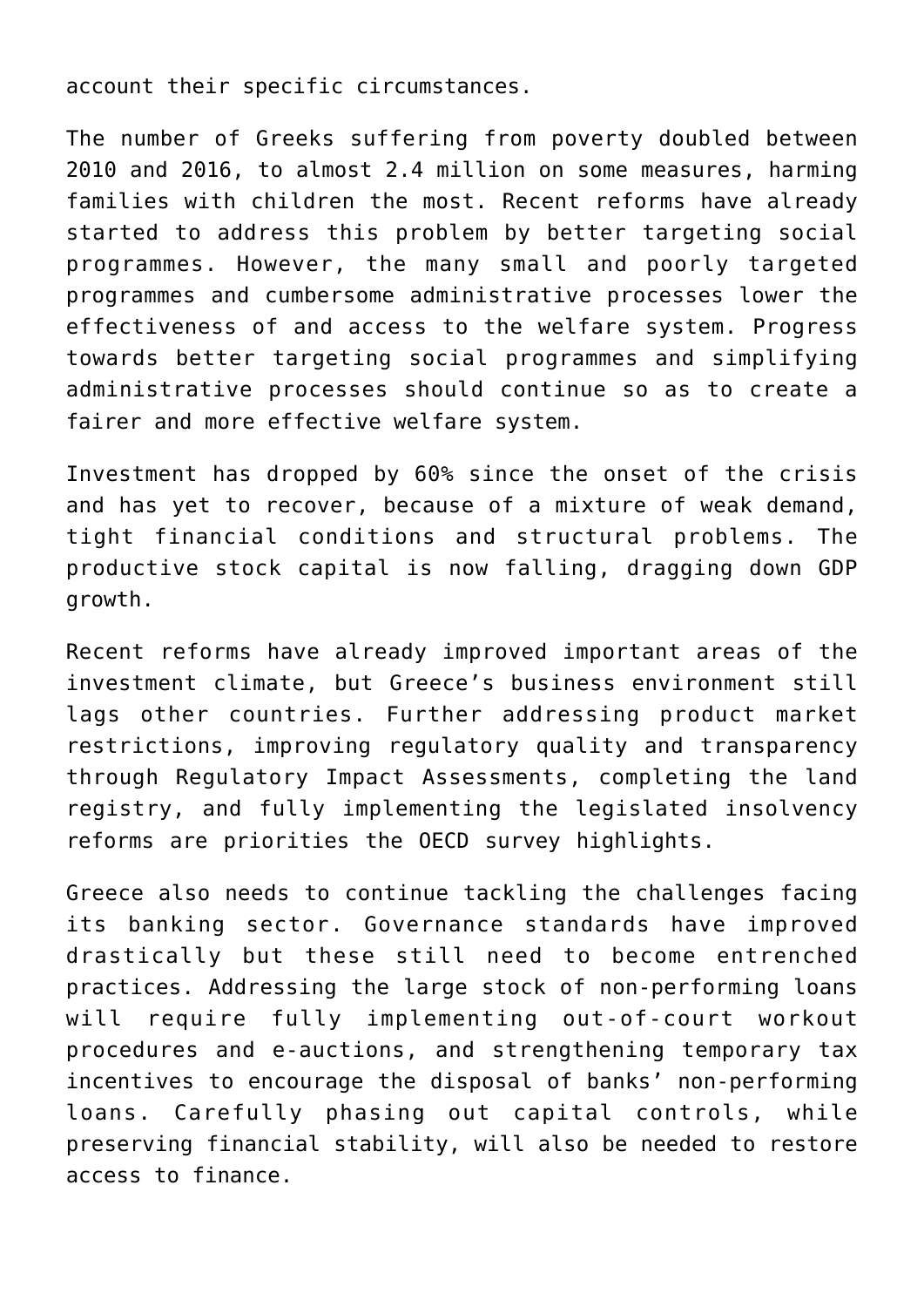account their specific circumstances.

The number of Greeks suffering from poverty doubled between 2010 and 2016, to almost 2.4 million on some measures, harming families with children the most. Recent reforms have already started to address this problem by better targeting social programmes. However, the many small and poorly targeted programmes and cumbersome administrative processes lower the effectiveness of and access to the welfare system. Progress towards better targeting social programmes and simplifying administrative processes should continue so as to create a fairer and more effective welfare system.

Investment has dropped by 60% since the onset of the crisis and has yet to recover, because of a mixture of weak demand, tight financial conditions and structural problems. The productive stock capital is now falling, dragging down GDP growth.

Recent reforms have already improved important areas of the investment climate, but Greece's business environment still lags other countries. Further addressing product market restrictions, improving regulatory quality and transparency through Regulatory Impact Assessments, completing the land registry, and fully implementing the legislated insolvency reforms are priorities the OECD survey highlights.

Greece also needs to continue tackling the challenges facing its banking sector. Governance standards have improved drastically but these still need to become entrenched practices. Addressing the large stock of non-performing loans will require fully implementing out-of-court workout procedures and e-auctions, and strengthening temporary tax incentives to encourage the disposal of banks' non-performing loans. Carefully phasing out capital controls, while preserving financial stability, will also be needed to restore access to finance.